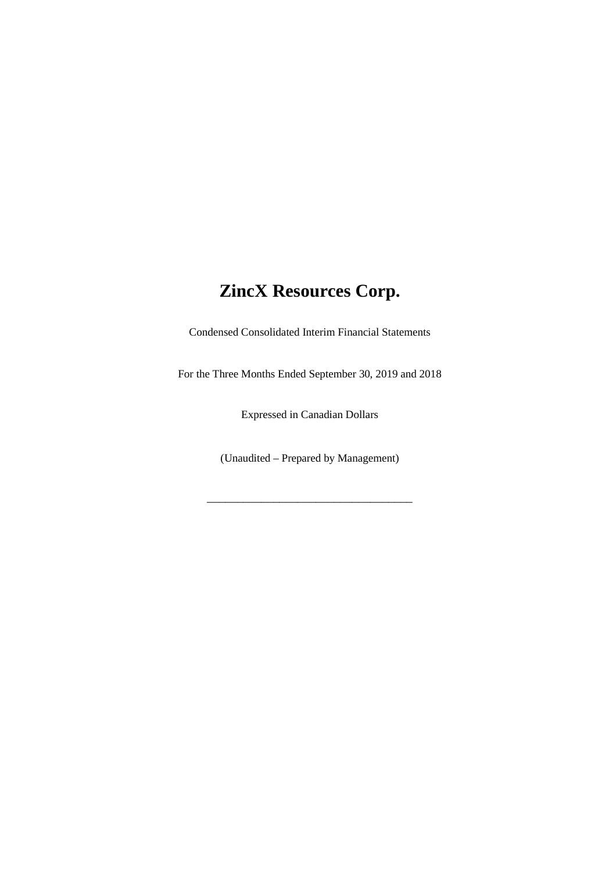Condensed Consolidated Interim Financial Statements

For the Three Months Ended September 30, 2019 and 2018

Expressed in Canadian Dollars

(Unaudited – Prepared by Management)

\_\_\_\_\_\_\_\_\_\_\_\_\_\_\_\_\_\_\_\_\_\_\_\_\_\_\_\_\_\_\_\_\_\_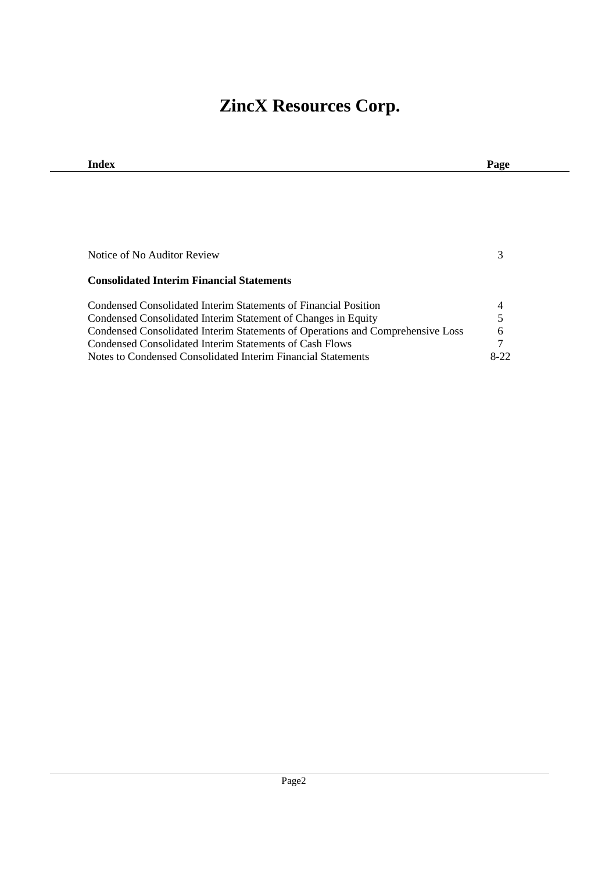| Index                                                                          | Page |
|--------------------------------------------------------------------------------|------|
|                                                                                |      |
|                                                                                |      |
|                                                                                |      |
|                                                                                |      |
|                                                                                |      |
| Notice of No Auditor Review                                                    | 3    |
|                                                                                |      |
|                                                                                |      |
| <b>Consolidated Interim Financial Statements</b>                               |      |
| Condensed Consolidated Interim Statements of Financial Position                | 4    |
| Condensed Consolidated Interim Statement of Changes in Equity                  | 5    |
| Condensed Consolidated Interim Statements of Operations and Comprehensive Loss | 6    |
| Condensed Consolidated Interim Statements of Cash Flows                        | 7    |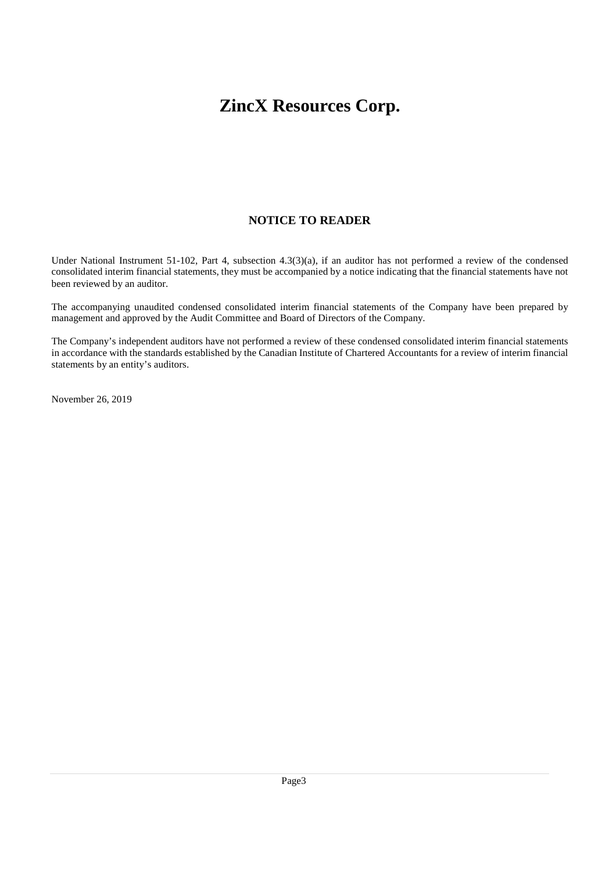# **NOTICE TO READER**

Under National Instrument 51-102, Part 4, subsection 4.3(3)(a), if an auditor has not performed a review of the condensed consolidated interim financial statements, they must be accompanied by a notice indicating that the financial statements have not been reviewed by an auditor.

The accompanying unaudited condensed consolidated interim financial statements of the Company have been prepared by management and approved by the Audit Committee and Board of Directors of the Company.

The Company's independent auditors have not performed a review of these condensed consolidated interim financial statements in accordance with the standards established by the Canadian Institute of Chartered Accountants for a review of interim financial statements by an entity's auditors.

November 26, 2019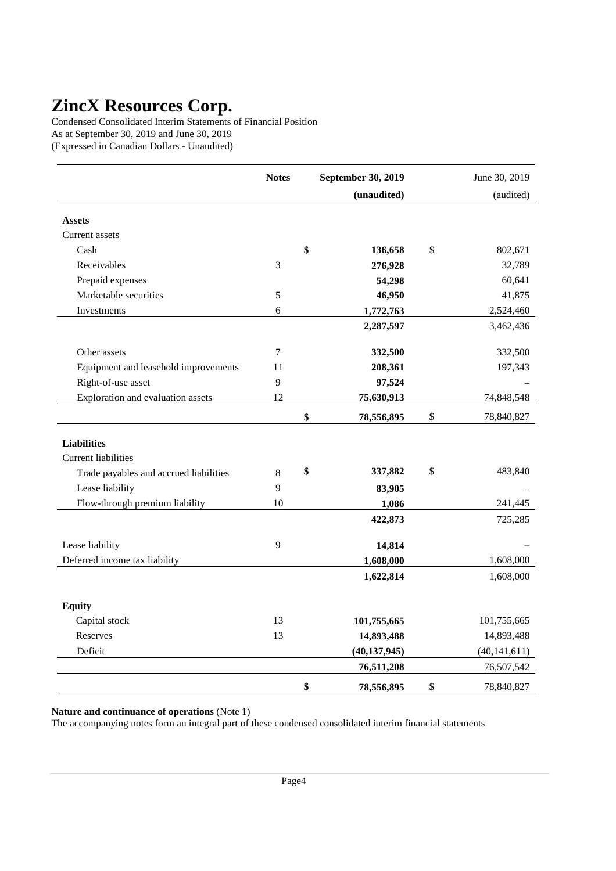Condensed Consolidated Interim Statements of Financial Position As at September 30, 2019 and June 30, 2019 (Expressed in Canadian Dollars - Unaudited)

|                                        | <b>Notes</b>   | September 30, 2019 | June 30, 2019    |
|----------------------------------------|----------------|--------------------|------------------|
|                                        |                | (unaudited)        | (audited)        |
| <b>Assets</b>                          |                |                    |                  |
|                                        |                |                    |                  |
| Current assets                         |                |                    |                  |
| Cash                                   |                | \$<br>136,658      | \$<br>802,671    |
| Receivables                            | 3              | 276,928            | 32,789           |
| Prepaid expenses                       |                | 54,298             | 60,641           |
| Marketable securities                  | 5              | 46,950             | 41,875           |
| Investments                            | 6              | 1,772,763          | 2,524,460        |
|                                        |                | 2,287,597          | 3,462,436        |
| Other assets                           | $\overline{7}$ | 332,500            | 332,500          |
| Equipment and leasehold improvements   | 11             | 208,361            | 197,343          |
| Right-of-use asset                     | 9              | 97,524             |                  |
| Exploration and evaluation assets      | 12             | 75,630,913         | 74,848,548       |
|                                        |                | \$<br>78,556,895   | \$<br>78,840,827 |
| <b>Liabilities</b>                     |                |                    |                  |
| <b>Current liabilities</b>             |                |                    |                  |
|                                        | 8              | \$<br>337,882      | \$<br>483,840    |
| Trade payables and accrued liabilities | 9              |                    |                  |
| Lease liability                        |                | 83,905             |                  |
| Flow-through premium liability         | 10             | 1,086              | 241,445          |
|                                        |                | 422,873            | 725,285          |
| Lease liability                        | 9              | 14,814             |                  |
| Deferred income tax liability          |                | 1,608,000          | 1,608,000        |
|                                        |                | 1,622,814          | 1,608,000        |
|                                        |                |                    |                  |
| <b>Equity</b>                          |                |                    |                  |
| Capital stock                          | 13             | 101,755,665        | 101,755,665      |
| Reserves                               | 13             | 14,893,488         | 14,893,488       |
| Deficit                                |                | (40, 137, 945)     | (40, 141, 611)   |
|                                        |                | 76,511,208         | 76,507,542       |
|                                        |                | \$<br>78,556,895   | \$<br>78,840,827 |

**Nature and continuance of operations** (Note 1)

The accompanying notes form an integral part of these condensed consolidated interim financial statements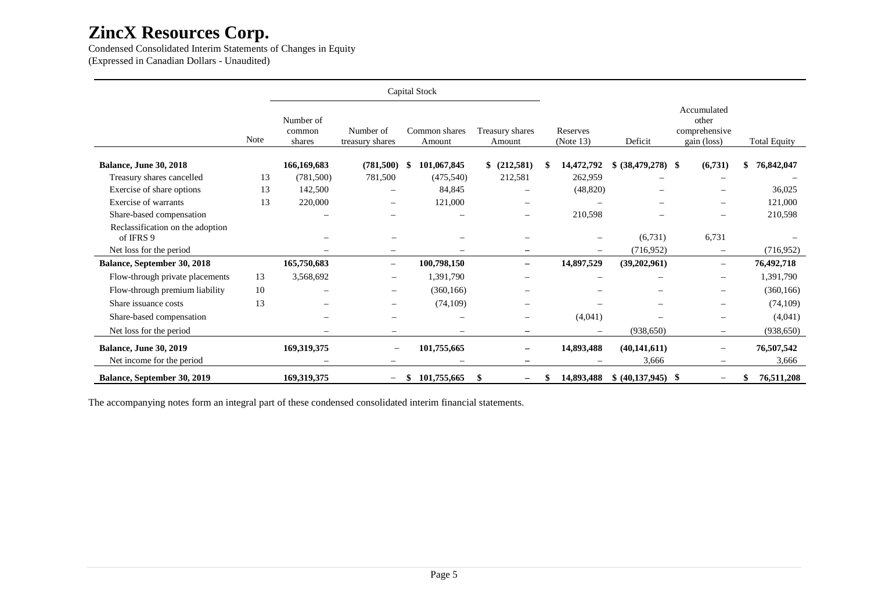Condensed Consolidated Interim Statements of Changes in Equity (Expressed in Canadian Dollars - Unaudited)

|                                               |      |                               | Capital Stock                |                          |                                |  |                          |                          |                                                      |                     |
|-----------------------------------------------|------|-------------------------------|------------------------------|--------------------------|--------------------------------|--|--------------------------|--------------------------|------------------------------------------------------|---------------------|
|                                               | Note | Number of<br>common<br>shares | Number of<br>treasury shares | Common shares<br>Amount  | Treasury shares<br>Amount      |  | Reserves<br>(Note 13)    | Deficit                  | Accumulated<br>other<br>comprehensive<br>gain (loss) | <b>Total Equity</b> |
| <b>Balance, June 30, 2018</b>                 |      | 166,169,683                   | (781,500)                    | 101,067,845<br>-S        | \$<br>(212,581)                |  | 14,472,792               | $$ (38,479,278)$ \;      | (6,731)                                              | 76,842,047          |
| Treasury shares cancelled                     | 13   | (781, 500)                    | 781,500                      | (475,540)                | 212,581                        |  | 262,959                  |                          |                                                      |                     |
| Exercise of share options                     | 13   | 142,500                       | -                            | 84,845                   |                                |  | (48, 820)                |                          |                                                      | 36,025              |
| Exercise of warrants                          | 13   | 220,000                       | $\overline{\phantom{0}}$     | 121,000                  |                                |  |                          |                          |                                                      | 121,000             |
| Share-based compensation                      |      |                               | -                            |                          | -                              |  | 210,598                  |                          |                                                      | 210,598             |
| Reclassification on the adoption<br>of IFRS 9 |      |                               |                              |                          | $\overline{\phantom{0}}$       |  |                          | (6,731)                  | 6,731                                                |                     |
| Net loss for the period                       |      |                               |                              |                          | -                              |  |                          | (716, 952)               | $\overline{\phantom{0}}$                             | (716, 952)          |
| Balance, September 30, 2018                   |      | 165,750,683                   | $\overline{\phantom{m}}$     | 100,798,150              | $\overline{\phantom{0}}$       |  | 14,897,529               | (39,202,961)             | $\overline{\phantom{0}}$                             | 76,492,718          |
| Flow-through private placements               | 13   | 3,568,692                     | $\qquad \qquad -$            | 1,391,790                | $\qquad \qquad -$              |  | $\overline{\phantom{a}}$ | $\overline{\phantom{m}}$ | $\qquad \qquad -$                                    | 1,391,790           |
| Flow-through premium liability                | 10   |                               | $\qquad \qquad$              | (360, 166)               | -                              |  |                          |                          | -                                                    | (360, 166)          |
| Share issuance costs                          | 13   | $\overline{\phantom{0}}$      | $\qquad \qquad -$            | (74, 109)                | -                              |  |                          |                          | -                                                    | (74, 109)           |
| Share-based compensation                      |      |                               | $\overline{\phantom{0}}$     | $\overline{\phantom{0}}$ | -                              |  | (4,041)                  |                          | -                                                    | (4,041)             |
| Net loss for the period                       |      |                               |                              |                          | $\qquad \qquad -$              |  |                          | (938, 650)               | $\qquad \qquad -$                                    | (938, 650)          |
| <b>Balance, June 30, 2019</b>                 |      | 169,319,375                   |                              | 101,755,665              | -                              |  | 14,893,488               | (40, 141, 611)           | -                                                    | 76,507,542          |
| Net income for the period                     |      |                               | -                            |                          | -                              |  |                          | 3,666                    |                                                      | 3,666               |
| <b>Balance, September 30, 2019</b>            |      | 169,319,375                   | $\qquad \qquad -$            | 101,755,665<br>S         | \$<br>$\overline{\phantom{0}}$ |  | 14,893,488               | $$ (40,137,945)$ \\$     |                                                      | 76,511,208          |

The accompanying notes form an integral part of these condensed consolidated interim financial statements.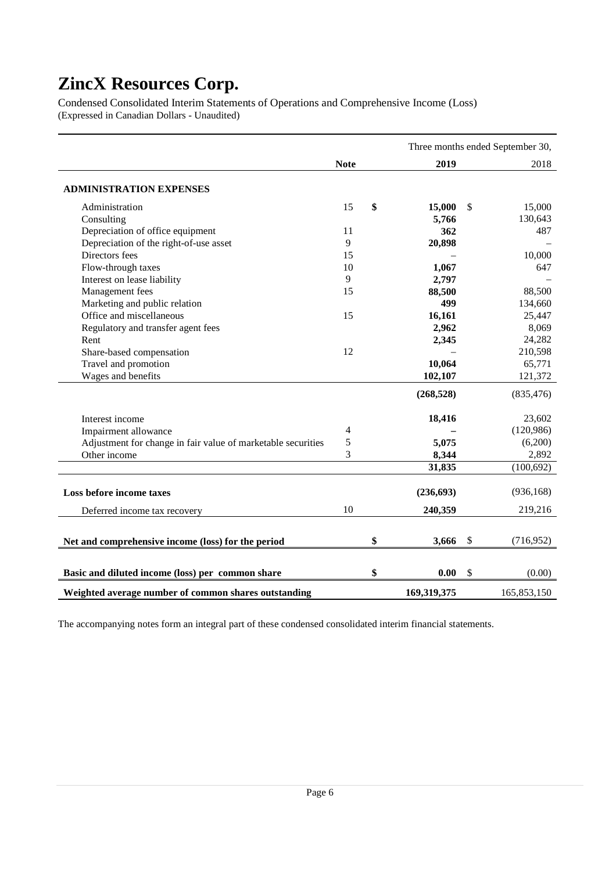Condensed Consolidated Interim Statements of Operations and Comprehensive Income (Loss) (Expressed in Canadian Dollars - Unaudited)

|                                                              | Three months ended September 30, |    |             |    |             |
|--------------------------------------------------------------|----------------------------------|----|-------------|----|-------------|
|                                                              | <b>Note</b>                      |    | 2019        |    | 2018        |
| <b>ADMINISTRATION EXPENSES</b>                               |                                  |    |             |    |             |
| Administration                                               | 15                               | \$ | 15,000      | \$ | 15,000      |
| Consulting                                                   |                                  |    | 5,766       |    | 130,643     |
| Depreciation of office equipment                             | 11                               |    | 362         |    | 487         |
| Depreciation of the right-of-use asset                       | 9                                |    | 20,898      |    |             |
| Directors fees                                               | 15                               |    |             |    | 10,000      |
| Flow-through taxes                                           | 10                               |    | 1,067       |    | 647         |
| Interest on lease liability                                  | 9                                |    | 2,797       |    |             |
| Management fees                                              | 15                               |    | 88,500      |    | 88,500      |
| Marketing and public relation                                |                                  |    | 499         |    | 134,660     |
| Office and miscellaneous                                     | 15                               |    | 16,161      |    | 25,447      |
| Regulatory and transfer agent fees                           |                                  |    | 2,962       |    | 8,069       |
| Rent                                                         |                                  |    | 2,345       |    | 24,282      |
| Share-based compensation                                     | 12                               |    |             |    | 210,598     |
| Travel and promotion                                         |                                  |    | 10,064      |    | 65,771      |
| Wages and benefits                                           |                                  |    | 102,107     |    | 121,372     |
|                                                              |                                  |    | (268, 528)  |    | (835, 476)  |
| Interest income                                              |                                  |    | 18,416      |    | 23,602      |
| Impairment allowance                                         | 4                                |    |             |    | (120,986)   |
| Adjustment for change in fair value of marketable securities | 5                                |    | 5,075       |    | (6,200)     |
| Other income                                                 | 3                                |    | 8,344       |    | 2,892       |
|                                                              |                                  |    | 31,835      |    | (100, 692)  |
| Loss before income taxes                                     |                                  |    | (236, 693)  |    | (936, 168)  |
| Deferred income tax recovery                                 | 10                               |    | 240,359     |    | 219,216     |
| Net and comprehensive income (loss) for the period           |                                  | \$ | 3,666       | \$ | (716,952)   |
| Basic and diluted income (loss) per common share             |                                  | \$ | 0.00        | \$ | (0.00)      |
| Weighted average number of common shares outstanding         |                                  |    | 169,319,375 |    | 165,853,150 |

The accompanying notes form an integral part of these condensed consolidated interim financial statements.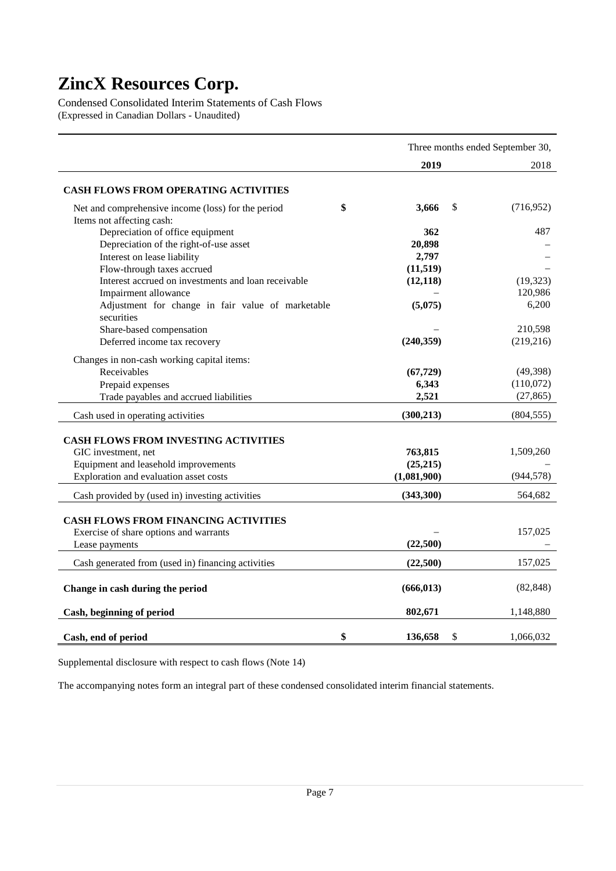Condensed Consolidated Interim Statements of Cash Flows (Expressed in Canadian Dollars - Unaudited)

|                                                     | Three months ended September 30, |    |            |  |
|-----------------------------------------------------|----------------------------------|----|------------|--|
|                                                     | 2019                             |    | 2018       |  |
| <b>CASH FLOWS FROM OPERATING ACTIVITIES</b>         |                                  |    |            |  |
| Net and comprehensive income (loss) for the period  | \$<br>3,666                      | \$ | (716,952)  |  |
| Items not affecting cash:                           |                                  |    |            |  |
| Depreciation of office equipment                    | 362                              |    | 487        |  |
| Depreciation of the right-of-use asset              | 20,898                           |    |            |  |
| Interest on lease liability                         | 2,797                            |    |            |  |
| Flow-through taxes accrued                          | (11, 519)                        |    |            |  |
| Interest accrued on investments and loan receivable | (12, 118)                        |    | (19, 323)  |  |
| Impairment allowance                                |                                  |    | 120,986    |  |
| Adjustment for change in fair value of marketable   | (5,075)                          |    | 6,200      |  |
| securities                                          |                                  |    |            |  |
| Share-based compensation                            |                                  |    | 210,598    |  |
| Deferred income tax recovery                        | (240, 359)                       |    | (219, 216) |  |
| Changes in non-cash working capital items:          |                                  |    |            |  |
| Receivables                                         | (67, 729)                        |    | (49, 398)  |  |
| Prepaid expenses                                    | 6,343                            |    | (110,072)  |  |
| Trade payables and accrued liabilities              | 2,521                            |    | (27, 865)  |  |
|                                                     |                                  |    |            |  |
| Cash used in operating activities                   | (300, 213)                       |    | (804, 555) |  |
| <b>CASH FLOWS FROM INVESTING ACTIVITIES</b>         |                                  |    |            |  |
| GIC investment, net                                 | 763,815                          |    | 1,509,260  |  |
| Equipment and leasehold improvements                | (25, 215)                        |    |            |  |
| Exploration and evaluation asset costs              | (1,081,900)                      |    | (944, 578) |  |
|                                                     |                                  |    |            |  |
| Cash provided by (used in) investing activities     | (343,300)                        |    | 564,682    |  |
|                                                     |                                  |    |            |  |
| <b>CASH FLOWS FROM FINANCING ACTIVITIES</b>         |                                  |    |            |  |
| Exercise of share options and warrants              |                                  |    | 157,025    |  |
| Lease payments                                      | (22,500)                         |    |            |  |
| Cash generated from (used in) financing activities  | (22,500)                         |    | 157,025    |  |
| Change in cash during the period                    | (666, 013)                       |    | (82, 848)  |  |
|                                                     |                                  |    |            |  |
| Cash, beginning of period                           | 802,671                          |    | 1,148,880  |  |
| Cash, end of period                                 | \$<br>136,658                    | \$ | 1,066,032  |  |

Supplemental disclosure with respect to cash flows (Note 14)

The accompanying notes form an integral part of these condensed consolidated interim financial statements.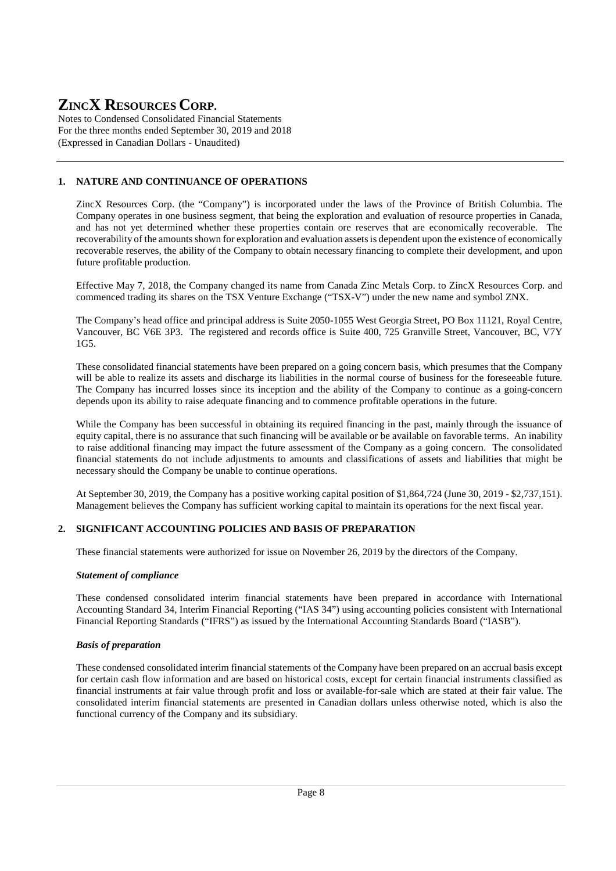Notes to Condensed Consolidated Financial Statements For the three months ended September 30, 2019 and 2018 (Expressed in Canadian Dollars - Unaudited)

# **1. NATURE AND CONTINUANCE OF OPERATIONS**

ZincX Resources Corp. (the "Company") is incorporated under the laws of the Province of British Columbia. The Company operates in one business segment, that being the exploration and evaluation of resource properties in Canada, and has not yet determined whether these properties contain ore reserves that are economically recoverable. The recoverability of the amounts shown for exploration and evaluation assets is dependent upon the existence of economically recoverable reserves, the ability of the Company to obtain necessary financing to complete their development, and upon future profitable production.

Effective May 7, 2018, the Company changed its name from Canada Zinc Metals Corp. to ZincX Resources Corp. and commenced trading its shares on the TSX Venture Exchange ("TSX-V") under the new name and symbol ZNX.

The Company's head office and principal address is Suite 2050-1055 West Georgia Street, PO Box 11121, Royal Centre, Vancouver, BC V6E 3P3. The registered and records office is Suite 400, 725 Granville Street, Vancouver, BC, V7Y 1G5.

These consolidated financial statements have been prepared on a going concern basis, which presumes that the Company will be able to realize its assets and discharge its liabilities in the normal course of business for the foreseeable future. The Company has incurred losses since its inception and the ability of the Company to continue as a going-concern depends upon its ability to raise adequate financing and to commence profitable operations in the future.

While the Company has been successful in obtaining its required financing in the past, mainly through the issuance of equity capital, there is no assurance that such financing will be available or be available on favorable terms. An inability to raise additional financing may impact the future assessment of the Company as a going concern. The consolidated financial statements do not include adjustments to amounts and classifications of assets and liabilities that might be necessary should the Company be unable to continue operations.

At September 30, 2019, the Company has a positive working capital position of \$1,864,724 (June 30, 2019 - \$2,737,151). Management believes the Company has sufficient working capital to maintain its operations for the next fiscal year.

#### **2. SIGNIFICANT ACCOUNTING POLICIES AND BASIS OF PREPARATION**

These financial statements were authorized for issue on November 26, 2019 by the directors of the Company.

#### *Statement of compliance*

These condensed consolidated interim financial statements have been prepared in accordance with International Accounting Standard 34, Interim Financial Reporting ("IAS 34") using accounting policies consistent with International Financial Reporting Standards ("IFRS") as issued by the International Accounting Standards Board ("IASB").

#### *Basis of preparation*

These condensed consolidated interim financial statements of the Company have been prepared on an accrual basis except for certain cash flow information and are based on historical costs, except for certain financial instruments classified as financial instruments at fair value through profit and loss or available-for-sale which are stated at their fair value. The consolidated interim financial statements are presented in Canadian dollars unless otherwise noted, which is also the functional currency of the Company and its subsidiary.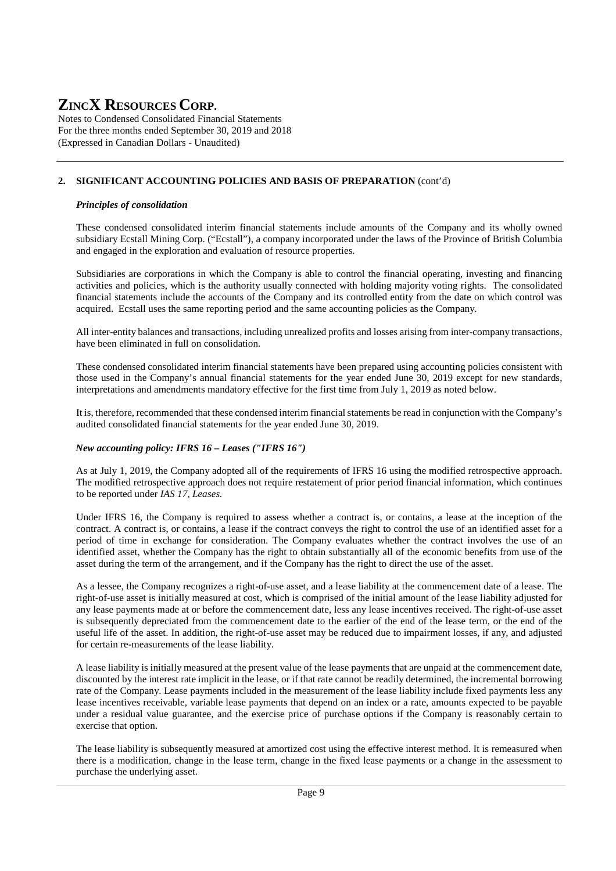Notes to Condensed Consolidated Financial Statements For the three months ended September 30, 2019 and 2018 (Expressed in Canadian Dollars - Unaudited)

### **2. SIGNIFICANT ACCOUNTING POLICIES AND BASIS OF PREPARATION** (cont'd)

#### *Principles of consolidation*

These condensed consolidated interim financial statements include amounts of the Company and its wholly owned subsidiary Ecstall Mining Corp. ("Ecstall"), a company incorporated under the laws of the Province of British Columbia and engaged in the exploration and evaluation of resource properties.

Subsidiaries are corporations in which the Company is able to control the financial operating, investing and financing activities and policies, which is the authority usually connected with holding majority voting rights. The consolidated financial statements include the accounts of the Company and its controlled entity from the date on which control was acquired. Ecstall uses the same reporting period and the same accounting policies as the Company.

All inter-entity balances and transactions, including unrealized profits and losses arising from inter-company transactions, have been eliminated in full on consolidation.

These condensed consolidated interim financial statements have been prepared using accounting policies consistent with those used in the Company's annual financial statements for the year ended June 30, 2019 except for new standards, interpretations and amendments mandatory effective for the first time from July 1, 2019 as noted below.

It is, therefore, recommended that these condensed interim financial statements be read in conjunction with the Company's audited consolidated financial statements for the year ended June 30, 2019.

#### *New accounting policy: IFRS 16 – Leases ("IFRS 16")*

As at July 1, 2019, the Company adopted all of the requirements of IFRS 16 using the modified retrospective approach. The modified retrospective approach does not require restatement of prior period financial information, which continues to be reported under *IAS 17, Leases.*

Under IFRS 16, the Company is required to assess whether a contract is, or contains, a lease at the inception of the contract. A contract is, or contains, a lease if the contract conveys the right to control the use of an identified asset for a period of time in exchange for consideration. The Company evaluates whether the contract involves the use of an identified asset, whether the Company has the right to obtain substantially all of the economic benefits from use of the asset during the term of the arrangement, and if the Company has the right to direct the use of the asset.

As a lessee, the Company recognizes a right-of-use asset, and a lease liability at the commencement date of a lease. The right-of-use asset is initially measured at cost, which is comprised of the initial amount of the lease liability adjusted for any lease payments made at or before the commencement date, less any lease incentives received. The right-of-use asset is subsequently depreciated from the commencement date to the earlier of the end of the lease term, or the end of the useful life of the asset. In addition, the right-of-use asset may be reduced due to impairment losses, if any, and adjusted for certain re-measurements of the lease liability.

A lease liability is initially measured at the present value of the lease payments that are unpaid at the commencement date, discounted by the interest rate implicit in the lease, or if that rate cannot be readily determined, the incremental borrowing rate of the Company. Lease payments included in the measurement of the lease liability include fixed payments less any lease incentives receivable, variable lease payments that depend on an index or a rate, amounts expected to be payable under a residual value guarantee, and the exercise price of purchase options if the Company is reasonably certain to exercise that option.

The lease liability is subsequently measured at amortized cost using the effective interest method. It is remeasured when there is a modification, change in the lease term, change in the fixed lease payments or a change in the assessment to purchase the underlying asset.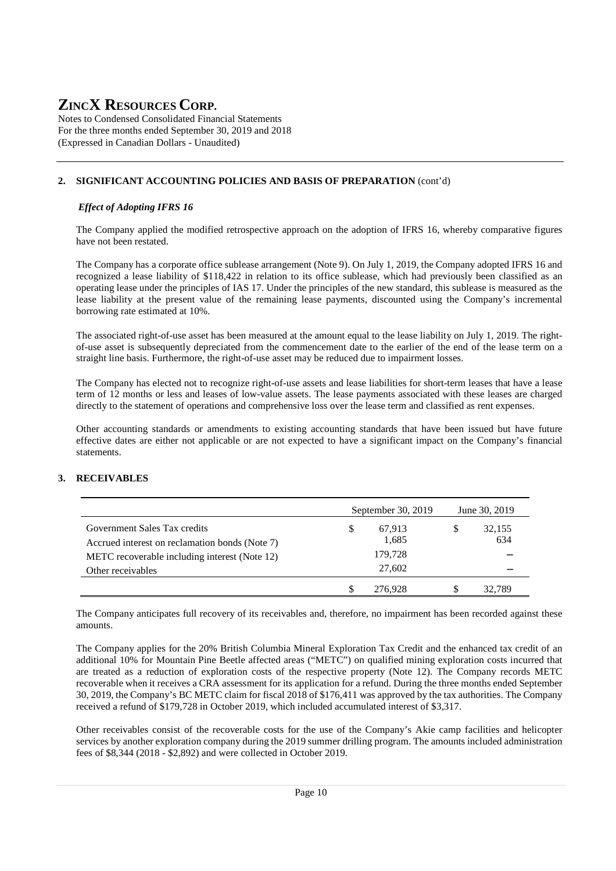Notes to Condensed Consolidated Financial Statements For the three months ended September 30, 2019 and 2018 (Expressed in Canadian Dollars - Unaudited)

## **2. SIGNIFICANT ACCOUNTING POLICIES AND BASIS OF PREPARATION** (cont'd)

#### *Effect of Adopting IFRS 16*

The Company applied the modified retrospective approach on the adoption of IFRS 16, whereby comparative figures have not been restated.

The Company has a corporate office sublease arrangement (Note 9). On July 1, 2019, the Company adopted IFRS 16 and recognized a lease liability of \$118,422 in relation to its office sublease, which had previously been classified as an operating lease under the principles of IAS 17. Under the principles of the new standard, this sublease is measured as the lease liability at the present value of the remaining lease payments, discounted using the Company's incremental borrowing rate estimated at 10%.

The associated right-of-use asset has been measured at the amount equal to the lease liability on July 1, 2019. The rightof-use asset is subsequently depreciated from the commencement date to the earlier of the end of the lease term on a straight line basis. Furthermore, the right-of-use asset may be reduced due to impairment losses.

The Company has elected not to recognize right-of-use assets and lease liabilities for short-term leases that have a lease term of 12 months or less and leases of low-value assets. The lease payments associated with these leases are charged directly to the statement of operations and comprehensive loss over the lease term and classified as rent expenses.

Other accounting standards or amendments to existing accounting standards that have been issued but have future effective dates are either not applicable or are not expected to have a significant impact on the Company's financial statements.

#### **3. RECEIVABLES**

|                                                                                | September 30, $2019$ |    | June 30, 2019 |
|--------------------------------------------------------------------------------|----------------------|----|---------------|
| Government Sales Tax credits<br>Accrued interest on reclamation bonds (Note 7) | 67.913<br>1,685      | S  | 32,155<br>634 |
| METC recoverable including interest (Note 12)<br>Other receivables             | 179,728<br>27,602    |    |               |
|                                                                                | 276.928              | \$ | 32.789        |

The Company anticipates full recovery of its receivables and, therefore, no impairment has been recorded against these amounts.

The Company applies for the 20% British Columbia Mineral Exploration Tax Credit and the enhanced tax credit of an additional 10% for Mountain Pine Beetle affected areas ("METC") on qualified mining exploration costs incurred that are treated as a reduction of exploration costs of the respective property (Note 12). The Company records METC recoverable when it receives a CRA assessment for its application for a refund. During the three months ended September 30, 2019, the Company's BC METC claim for fiscal 2018 of \$176,411 was approved by the tax authorities. The Company received a refund of \$179,728 in October 2019, which included accumulated interest of \$3,317.

Other receivables consist of the recoverable costs for the use of the Company's Akie camp facilities and helicopter services by another exploration company during the 2019 summer drilling program. The amounts included administration fees of \$8,344 (2018 - \$2,892) and were collected in October 2019.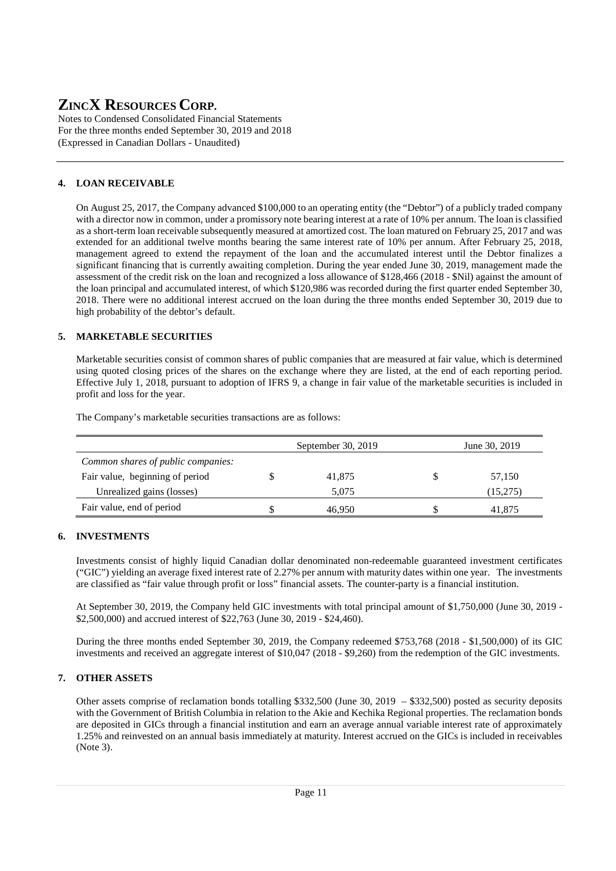Notes to Condensed Consolidated Financial Statements For the three months ended September 30, 2019 and 2018 (Expressed in Canadian Dollars - Unaudited)

# **4. LOAN RECEIVABLE**

On August 25, 2017, the Company advanced \$100,000 to an operating entity (the "Debtor") of a publicly traded company with a director now in common, under a promissory note bearing interest at a rate of 10% per annum. The loan is classified as a short-term loan receivable subsequently measured at amortized cost. The loan matured on February 25, 2017 and was extended for an additional twelve months bearing the same interest rate of 10% per annum. After February 25, 2018, management agreed to extend the repayment of the loan and the accumulated interest until the Debtor finalizes a significant financing that is currently awaiting completion. During the year ended June 30, 2019, management made the assessment of the credit risk on the loan and recognized a loss allowance of \$128,466 (2018 - \$Nil) against the amount of the loan principal and accumulated interest, of which \$120,986 was recorded during the first quarter ended September 30, 2018. There were no additional interest accrued on the loan during the three months ended September 30, 2019 due to high probability of the debtor's default.

# **5. MARKETABLE SECURITIES**

Marketable securities consist of common shares of public companies that are measured at fair value, which is determined using quoted closing prices of the shares on the exchange where they are listed, at the end of each reporting period. Effective July 1, 2018, pursuant to adoption of IFRS 9, a change in fair value of the marketable securities is included in profit and loss for the year.

The Company's marketable securities transactions are as follows:

|                                    | September 30, 2019 | June 30, 2019 |
|------------------------------------|--------------------|---------------|
| Common shares of public companies: |                    |               |
| Fair value, beginning of period    | 41,875             | 57,150        |
| Unrealized gains (losses)          | 5.075              | (15,275)      |
| Fair value, end of period          | 46.950             | 41.875        |

# **6. INVESTMENTS**

Investments consist of highly liquid Canadian dollar denominated non-redeemable guaranteed investment certificates ("GIC") yielding an average fixed interest rate of 2.27% per annum with maturity dates within one year. The investments are classified as "fair value through profit or loss" financial assets. The counter-party is a financial institution.

At September 30, 2019, the Company held GIC investments with total principal amount of \$1,750,000 (June 30, 2019 - \$2,500,000) and accrued interest of \$22,763 (June 30, 2019 - \$24,460).

During the three months ended September 30, 2019, the Company redeemed \$753,768 (2018 - \$1,500,000) of its GIC investments and received an aggregate interest of \$10,047 (2018 - \$9,260) from the redemption of the GIC investments.

# **7. OTHER ASSETS**

Other assets comprise of reclamation bonds totalling \$332,500 (June 30, 2019 – \$332,500) posted as security deposits with the Government of British Columbia in relation to the Akie and Kechika Regional properties. The reclamation bonds are deposited in GICs through a financial institution and earn an average annual variable interest rate of approximately 1.25% and reinvested on an annual basis immediately at maturity. Interest accrued on the GICs is included in receivables (Note 3).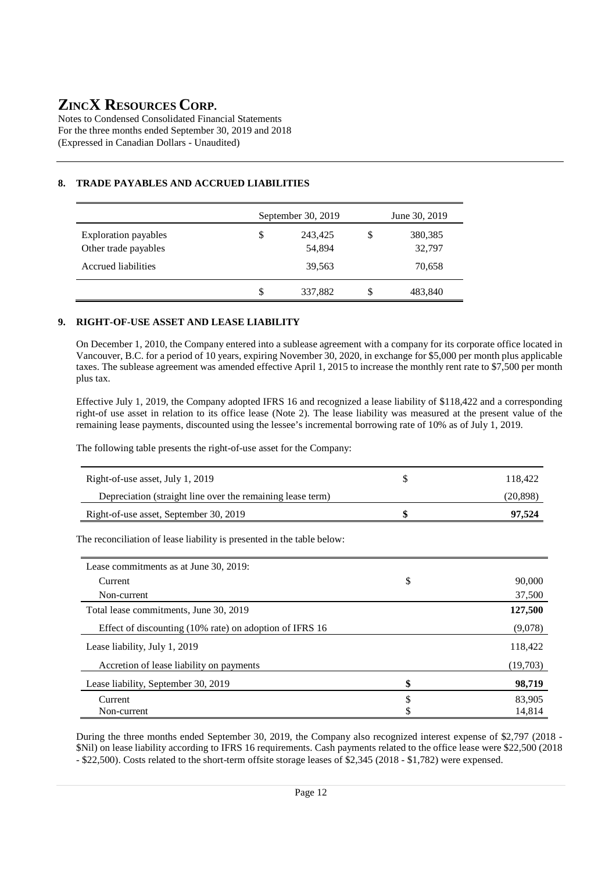Notes to Condensed Consolidated Financial Statements For the three months ended September 30, 2019 and 2018 (Expressed in Canadian Dollars - Unaudited)

# **8. TRADE PAYABLES AND ACCRUED LIABILITIES**

|                                                     | September 30, 2019      |   | June 30, 2019     |
|-----------------------------------------------------|-------------------------|---|-------------------|
| <b>Exploration payables</b><br>Other trade payables | \$<br>243,425<br>54,894 | S | 380,385<br>32,797 |
| Accrued liabilities                                 | 39,563                  |   | 70,658            |
|                                                     | \$<br>337,882           | S | 483,840           |

#### **9. RIGHT-OF-USE ASSET AND LEASE LIABILITY**

On December 1, 2010, the Company entered into a sublease agreement with a company for its corporate office located in Vancouver, B.C. for a period of 10 years, expiring November 30, 2020, in exchange for \$5,000 per month plus applicable taxes. The sublease agreement was amended effective April 1, 2015 to increase the monthly rent rate to \$7,500 per month plus tax.

Effective July 1, 2019, the Company adopted IFRS 16 and recognized a lease liability of \$118,422 and a corresponding right-of use asset in relation to its office lease (Note 2). The lease liability was measured at the present value of the remaining lease payments, discounted using the lessee's incremental borrowing rate of 10% as of July 1, 2019.

The following table presents the right-of-use asset for the Company:

| Right-of-use asset, July 1, 2019                                       | \$<br>118,422 |
|------------------------------------------------------------------------|---------------|
| Depreciation (straight line over the remaining lease term)             | (20, 898)     |
| Right-of-use asset, September 30, 2019                                 | 97,524        |
| The reconciliation of lease liability is presented in the table below: |               |
| Lease commitments as at June 30, 2019:                                 |               |
| Current                                                                |               |
|                                                                        | \$<br>90,000  |

| Non-current                                             | 37,500       |
|---------------------------------------------------------|--------------|
| Total lease commitments, June 30, 2019                  | 127,500      |
| Effect of discounting (10% rate) on adoption of IFRS 16 | (9,078)      |
| Lease liability, July 1, 2019                           | 118,422      |
| Accretion of lease liability on payments                | (19,703)     |
| Lease liability, September 30, 2019                     | \$<br>98,719 |
| Current                                                 | \$<br>83,905 |
| Non-current                                             | 14,814       |

During the three months ended September 30, 2019, the Company also recognized interest expense of \$2,797 (2018 - \$Nil) on lease liability according to IFRS 16 requirements. Cash payments related to the office lease were \$22,500 (2018 - \$22,500). Costs related to the short-term offsite storage leases of \$2,345 (2018 - \$1,782) were expensed.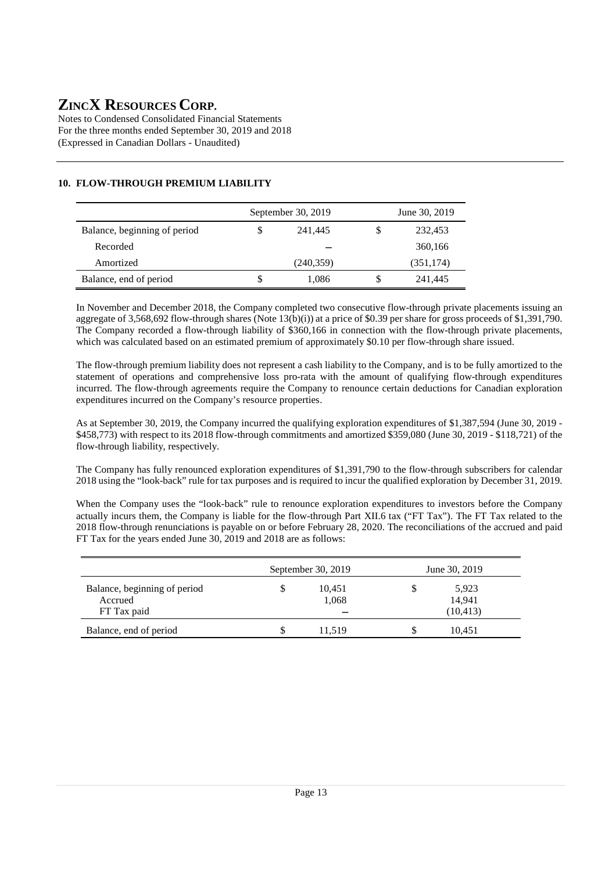Notes to Condensed Consolidated Financial Statements For the three months ended September 30, 2019 and 2018 (Expressed in Canadian Dollars - Unaudited)

|                              |   | September 30, 2019 |   | June 30, 2019 |
|------------------------------|---|--------------------|---|---------------|
| Balance, beginning of period | S | 241,445            | S | 232,453       |
| Recorded                     |   |                    |   | 360,166       |
| Amortized                    |   | (240, 359)         |   | (351, 174)    |
| Balance, end of period       | S | 1,086              | S | 241,445       |

# **10. FLOW-THROUGH PREMIUM LIABILITY**

In November and December 2018, the Company completed two consecutive flow-through private placements issuing an aggregate of 3,568,692 flow-through shares (Note 13(b)(i)) at a price of \$0.39 per share for gross proceeds of \$1,391,790. The Company recorded a flow-through liability of \$360,166 in connection with the flow-through private placements, which was calculated based on an estimated premium of approximately \$0.10 per flow-through share issued.

The flow-through premium liability does not represent a cash liability to the Company, and is to be fully amortized to the statement of operations and comprehensive loss pro-rata with the amount of qualifying flow-through expenditures incurred. The flow-through agreements require the Company to renounce certain deductions for Canadian exploration expenditures incurred on the Company's resource properties.

As at September 30, 2019, the Company incurred the qualifying exploration expenditures of \$1,387,594 (June 30, 2019 - \$458,773) with respect to its 2018 flow-through commitments and amortized \$359,080 (June 30, 2019 - \$118,721) of the flow-through liability, respectively.

The Company has fully renounced exploration expenditures of \$1,391,790 to the flow-through subscribers for calendar 2018 using the "look-back" rule for tax purposes and is required to incur the qualified exploration by December 31, 2019.

When the Company uses the "look-back" rule to renounce exploration expenditures to investors before the Company actually incurs them, the Company is liable for the flow-through Part XII.6 tax ("FT Tax"). The FT Tax related to the 2018 flow-through renunciations is payable on or before February 28, 2020. The reconciliations of the accrued and paid FT Tax for the years ended June 30, 2019 and 2018 are as follows:

|                                         |    | September 30, 2019 | June 30, 2019   |  |
|-----------------------------------------|----|--------------------|-----------------|--|
| Balance, beginning of period<br>Accrued | \$ | 10,451<br>1,068    | 5,923<br>14.941 |  |
| FT Tax paid                             |    |                    | (10, 413)       |  |
| Balance, end of period                  | S  | 11.519             | 10.451          |  |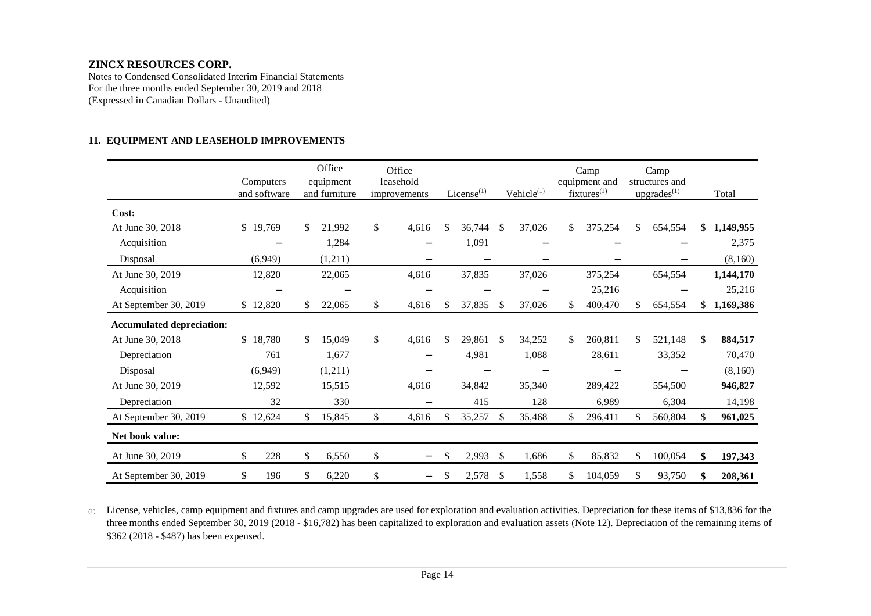Notes to Condensed Consolidated Interim Financial Statements For the three months ended September 30, 2019 and 2018 (Expressed in Canadian Dollars - Unaudited)

#### **11. EQUIPMENT AND LEASEHOLD IMPROVEMENTS**

|                                  | Computers<br>and software |     | Office<br>equipment<br>and furniture | Office<br>leasehold<br>improvements | License $(1)$ | Vehicle <sup>(1)</sup> | Camp<br>equipment and<br>$fixtures^{(1)}$ |    | Camp<br>structures and<br>$\text{upgrades}^{(1)}$ | Total           |
|----------------------------------|---------------------------|-----|--------------------------------------|-------------------------------------|---------------|------------------------|-------------------------------------------|----|---------------------------------------------------|-----------------|
| Cost:                            |                           |     |                                      |                                     |               |                        |                                           |    |                                                   |                 |
| At June 30, 2018                 | \$19,769                  | \$  | 21,992                               | \$<br>4,616                         | \$<br>36,744  | \$<br>37,026           | \$<br>375,254                             | \$ | 654,554                                           | \$<br>1,149,955 |
| Acquisition                      |                           |     | 1,284                                |                                     | 1,091         |                        |                                           |    |                                                   | 2,375           |
| Disposal                         | (6,949)                   |     | (1,211)                              |                                     |               |                        |                                           |    |                                                   | (8,160)         |
| At June 30, 2019                 | 12,820                    |     | 22,065                               | 4,616                               | 37,835        | 37,026                 | 375,254                                   |    | 654,554                                           | 1,144,170       |
| Acquisition                      |                           |     | -                                    |                                     | -             | $\qquad \qquad$        | 25,216                                    |    |                                                   | 25,216          |
| At September 30, 2019            | \$12,820                  | \$  | 22,065                               | \$<br>4,616                         | \$<br>37,835  | \$<br>37,026           | \$<br>400,470                             | S. | 654,554                                           | \$<br>1,169,386 |
| <b>Accumulated depreciation:</b> |                           |     |                                      |                                     |               |                        |                                           |    |                                                   |                 |
| At June 30, 2018                 | \$18,780                  | \$. | 15,049                               | \$<br>4,616                         | \$<br>29,861  | \$<br>34,252           | \$<br>260,811                             | \$ | 521,148                                           | \$<br>884,517   |
| Depreciation                     | 761                       |     | 1,677                                |                                     | 4,981         | 1,088                  | 28,611                                    |    | 33,352                                            | 70,470          |
| Disposal                         | (6,949)                   |     | (1,211)                              |                                     |               |                        |                                           |    |                                                   | (8,160)         |
| At June 30, 2019                 | 12,592                    |     | 15,515                               | 4,616                               | 34,842        | 35,340                 | 289,422                                   |    | 554,500                                           | 946,827         |
| Depreciation                     | 32                        |     | 330                                  |                                     | 415           | 128                    | 6,989                                     |    | 6,304                                             | 14,198          |
| At September 30, 2019            | \$12,624                  | \$  | 15,845                               | \$<br>4,616                         | \$<br>35,257  | \$<br>35,468           | \$<br>296,411                             | \$ | 560,804                                           | \$<br>961,025   |
| Net book value:                  |                           |     |                                      |                                     |               |                        |                                           |    |                                                   |                 |
| At June 30, 2019                 | \$<br>228                 | \$  | 6,550                                | \$<br>-                             | \$<br>2,993   | \$<br>1,686            | \$<br>85,832                              | \$ | 100,054                                           | \$<br>197,343   |
| At September 30, 2019            | 196<br>\$                 | \$  | 6,220                                | \$                                  | \$<br>2,578   | \$<br>1,558            | \$<br>104,059                             | \$ | 93,750                                            | \$<br>208,361   |

(1) License, vehicles, camp equipment and fixtures and camp upgrades are used for exploration and evaluation activities. Depreciation for these items of \$13,836 for the three months ended September 30, 2019 (2018 - \$16,782) has been capitalized to exploration and evaluation assets (Note 12). Depreciation of the remaining items of \$362 (2018 - \$487) has been expensed.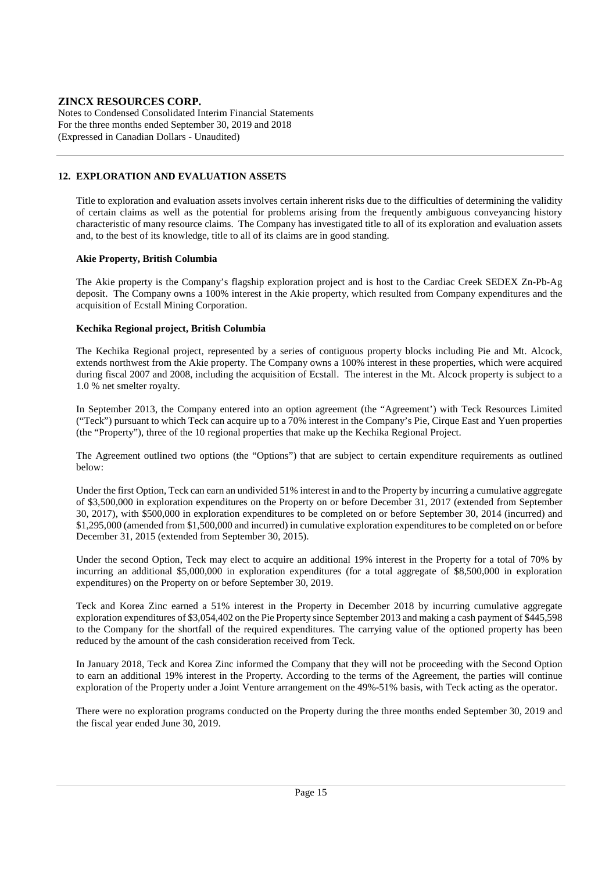Notes to Condensed Consolidated Interim Financial Statements For the three months ended September 30, 2019 and 2018 (Expressed in Canadian Dollars - Unaudited)

#### **12. EXPLORATION AND EVALUATION ASSETS**

Title to exploration and evaluation assets involves certain inherent risks due to the difficulties of determining the validity of certain claims as well as the potential for problems arising from the frequently ambiguous conveyancing history characteristic of many resource claims. The Company has investigated title to all of its exploration and evaluation assets and, to the best of its knowledge, title to all of its claims are in good standing.

#### **Akie Property, British Columbia**

The Akie property is the Company's flagship exploration project and is host to the Cardiac Creek SEDEX Zn-Pb-Ag deposit. The Company owns a 100% interest in the Akie property, which resulted from Company expenditures and the acquisition of Ecstall Mining Corporation.

#### **Kechika Regional project, British Columbia**

The Kechika Regional project, represented by a series of contiguous property blocks including Pie and Mt. Alcock, extends northwest from the Akie property. The Company owns a 100% interest in these properties, which were acquired during fiscal 2007 and 2008, including the acquisition of Ecstall. The interest in the Mt. Alcock property is subject to a 1.0 % net smelter royalty.

In September 2013, the Company entered into an option agreement (the "Agreement') with Teck Resources Limited ("Teck") pursuant to which Teck can acquire up to a 70% interest in the Company's Pie, Cirque East and Yuen properties (the "Property"), three of the 10 regional properties that make up the Kechika Regional Project.

The Agreement outlined two options (the "Options") that are subject to certain expenditure requirements as outlined below:

Under the first Option, Teck can earn an undivided 51% interest in and to the Property by incurring a cumulative aggregate of \$3,500,000 in exploration expenditures on the Property on or before December 31, 2017 (extended from September 30, 2017), with \$500,000 in exploration expenditures to be completed on or before September 30, 2014 (incurred) and \$1,295,000 (amended from \$1,500,000 and incurred) in cumulative exploration expenditures to be completed on or before December 31, 2015 (extended from September 30, 2015).

Under the second Option, Teck may elect to acquire an additional 19% interest in the Property for a total of 70% by incurring an additional \$5,000,000 in exploration expenditures (for a total aggregate of \$8,500,000 in exploration expenditures) on the Property on or before September 30, 2019.

Teck and Korea Zinc earned a 51% interest in the Property in December 2018 by incurring cumulative aggregate exploration expenditures of \$3,054,402 on the Pie Property since September 2013 and making a cash payment of \$445,598 to the Company for the shortfall of the required expenditures. The carrying value of the optioned property has been reduced by the amount of the cash consideration received from Teck.

In January 2018, Teck and Korea Zinc informed the Company that they will not be proceeding with the Second Option to earn an additional 19% interest in the Property. According to the terms of the Agreement, the parties will continue exploration of the Property under a Joint Venture arrangement on the 49%-51% basis, with Teck acting as the operator.

There were no exploration programs conducted on the Property during the three months ended September 30, 2019 and the fiscal year ended June 30, 2019.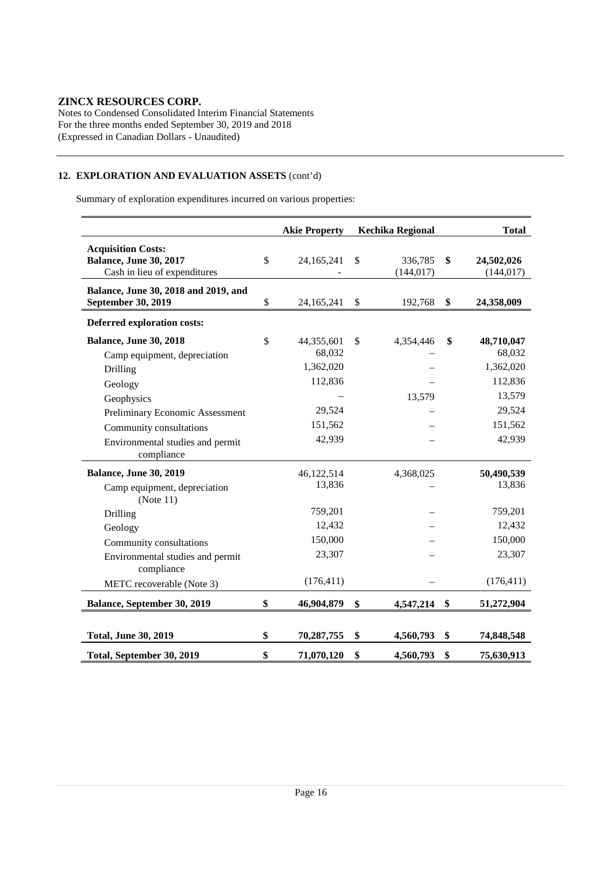Notes to Condensed Consolidated Interim Financial Statements For the three months ended September 30, 2019 and 2018 (Expressed in Canadian Dollars - Unaudited)

# **12. EXPLORATION AND EVALUATION ASSETS** (cont'd)

Summary of exploration expenditures incurred on various properties:

|                                                                                                                                       | <b>Akie Property</b>                                                    | <b>Kechika Regional</b>     | <b>Total</b>                                                                      |
|---------------------------------------------------------------------------------------------------------------------------------------|-------------------------------------------------------------------------|-----------------------------|-----------------------------------------------------------------------------------|
| <b>Acquisition Costs:</b><br><b>Balance, June 30, 2017</b><br>Cash in lieu of expenditures                                            | \$<br>24, 165, 241                                                      | \$<br>336,785<br>(144, 017) | \$<br>24,502,026<br>(144, 017)                                                    |
| Balance, June 30, 2018 and 2019, and<br>September 30, 2019                                                                            | \$<br>24, 165, 241                                                      | \$<br>192,768               | \$<br>24,358,009                                                                  |
| Deferred exploration costs:                                                                                                           |                                                                         |                             |                                                                                   |
| <b>Balance, June 30, 2018</b><br>Camp equipment, depreciation<br>Drilling<br>Geology<br>Geophysics<br>Preliminary Economic Assessment | \$<br>44,355,601<br>68,032<br>1,362,020<br>112,836<br>29,524<br>151,562 | \$<br>4,354,446<br>13,579   | \$<br>48,710,047<br>68,032<br>1,362,020<br>112,836<br>13,579<br>29,524<br>151,562 |
| Community consultations<br>Environmental studies and permit<br>compliance                                                             | 42,939                                                                  |                             | 42,939                                                                            |
| <b>Balance, June 30, 2019</b><br>Camp equipment, depreciation<br>(Note 11)                                                            | 46,122,514<br>13,836                                                    | 4,368,025                   | 50,490,539<br>13,836                                                              |
| Drilling<br>Geology<br>Community consultations<br>Environmental studies and permit<br>compliance                                      | 759,201<br>12,432<br>150,000<br>23,307                                  |                             | 759,201<br>12,432<br>150,000<br>23,307                                            |
| METC recoverable (Note 3)<br>Balance, September 30, 2019                                                                              | (176, 411)                                                              |                             | (176, 411)                                                                        |
|                                                                                                                                       | \$<br>46,904,879                                                        | \$<br>4,547,214             | \$<br>51,272,904                                                                  |
| <b>Total, June 30, 2019</b>                                                                                                           | \$<br>70,287,755                                                        | \$<br>4,560,793             | \$<br>74,848,548                                                                  |
| Total, September 30, 2019                                                                                                             | \$<br>71,070,120                                                        | \$<br>4,560,793             | \$<br>75,630,913                                                                  |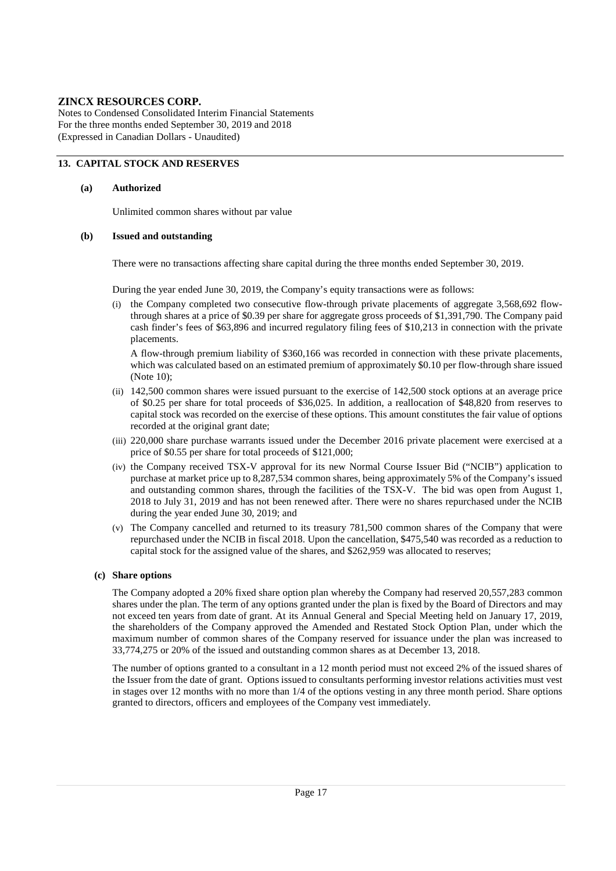Notes to Condensed Consolidated Interim Financial Statements For the three months ended September 30, 2019 and 2018 (Expressed in Canadian Dollars - Unaudited)

#### **13. CAPITAL STOCK AND RESERVES**

#### **(a) Authorized**

Unlimited common shares without par value

#### **(b) Issued and outstanding**

There were no transactions affecting share capital during the three months ended September 30, 2019.

During the year ended June 30, 2019, the Company's equity transactions were as follows:

(i) the Company completed two consecutive flow-through private placements of aggregate 3,568,692 flowthrough shares at a price of \$0.39 per share for aggregate gross proceeds of \$1,391,790. The Company paid cash finder's fees of \$63,896 and incurred regulatory filing fees of \$10,213 in connection with the private placements.

A flow-through premium liability of \$360,166 was recorded in connection with these private placements, which was calculated based on an estimated premium of approximately \$0.10 per flow-through share issued (Note 10);

- (ii) 142,500 common shares were issued pursuant to the exercise of 142,500 stock options at an average price of \$0.25 per share for total proceeds of \$36,025. In addition, a reallocation of \$48,820 from reserves to capital stock was recorded on the exercise of these options. This amount constitutes the fair value of options recorded at the original grant date;
- (iii) 220,000 share purchase warrants issued under the December 2016 private placement were exercised at a price of \$0.55 per share for total proceeds of \$121,000;
- (iv) the Company received TSX-V approval for its new Normal Course Issuer Bid ("NCIB") application to purchase at market price up to 8,287,534 common shares, being approximately 5% of the Company's issued and outstanding common shares, through the facilities of the TSX-V. The bid was open from August 1, 2018 to July 31, 2019 and has not been renewed after. There were no shares repurchased under the NCIB during the year ended June 30, 2019; and
- (v) The Company cancelled and returned to its treasury 781,500 common shares of the Company that were repurchased under the NCIB in fiscal 2018. Upon the cancellation, \$475,540 was recorded as a reduction to capital stock for the assigned value of the shares, and \$262,959 was allocated to reserves;

#### **(c) Share options**

The Company adopted a 20% fixed share option plan whereby the Company had reserved 20,557,283 common shares under the plan. The term of any options granted under the plan is fixed by the Board of Directors and may not exceed ten years from date of grant. At its Annual General and Special Meeting held on January 17, 2019, the shareholders of the Company approved the Amended and Restated Stock Option Plan, under which the maximum number of common shares of the Company reserved for issuance under the plan was increased to 33,774,275 or 20% of the issued and outstanding common shares as at December 13, 2018.

 The number of options granted to a consultant in a 12 month period must not exceed 2% of the issued shares of the Issuer from the date of grant. Options issued to consultants performing investor relations activities must vest in stages over 12 months with no more than 1/4 of the options vesting in any three month period. Share options granted to directors, officers and employees of the Company vest immediately.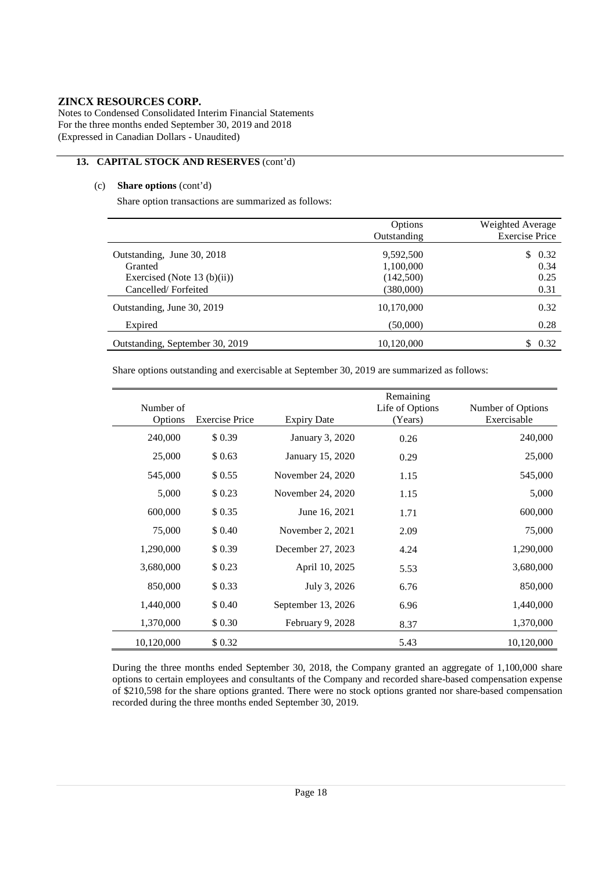Notes to Condensed Consolidated Interim Financial Statements For the three months ended September 30, 2019 and 2018 (Expressed in Canadian Dollars - Unaudited)

#### **13. CAPITAL STOCK AND RESERVES** (cont'd)

#### (c) **Share options** (cont'd)

Share option transactions are summarized as follows:

|                                 | Options<br>Outstanding | Weighted Average<br><b>Exercise Price</b> |
|---------------------------------|------------------------|-------------------------------------------|
| Outstanding, June 30, 2018      | 9,592,500              | 0.32<br>\$.                               |
| Granted                         | 1,100,000              | 0.34                                      |
| Exercised (Note 13 (b)(ii))     | (142,500)              | 0.25                                      |
| Cancelled/Forfeited             | (380,000)              | 0.31                                      |
| Outstanding, June 30, 2019      | 10,170,000             | 0.32                                      |
| Expired                         | (50,000)               | 0.28                                      |
| Outstanding, September 30, 2019 | 10,120,000             | S<br>0.32                                 |

Share options outstanding and exercisable at September 30, 2019 are summarized as follows:

| Number of<br>Options | <b>Exercise Price</b> | <b>Expiry Date</b> | Remaining<br>Life of Options<br>(Years) | Number of Options<br>Exercisable |
|----------------------|-----------------------|--------------------|-----------------------------------------|----------------------------------|
| 240,000              | \$0.39                | January 3, 2020    | 0.26                                    | 240,000                          |
| 25,000               | \$0.63                | January 15, 2020   | 0.29                                    | 25,000                           |
| 545,000              | \$0.55                | November 24, 2020  | 1.15                                    | 545,000                          |
| 5,000                | \$0.23                | November 24, 2020  | 1.15                                    | 5,000                            |
| 600,000              | \$0.35                | June 16, 2021      | 1.71                                    | 600,000                          |
| 75,000               | \$ 0.40               | November 2, 2021   | 2.09                                    | 75,000                           |
| 1,290,000            | \$0.39                | December 27, 2023  | 4.24                                    | 1,290,000                        |
| 3,680,000            | \$0.23                | April 10, 2025     | 5.53                                    | 3,680,000                        |
| 850,000              | \$0.33                | July 3, 2026       | 6.76                                    | 850,000                          |
| 1,440,000            | \$ 0.40               | September 13, 2026 | 6.96                                    | 1,440,000                        |
| 1,370,000            | \$0.30                | February 9, 2028   | 8.37                                    | 1,370,000                        |
| 10,120,000           | \$ 0.32               |                    | 5.43                                    | 10,120,000                       |

During the three months ended September 30, 2018, the Company granted an aggregate of 1,100,000 share options to certain employees and consultants of the Company and recorded share-based compensation expense of \$210,598 for the share options granted. There were no stock options granted nor share-based compensation recorded during the three months ended September 30, 2019.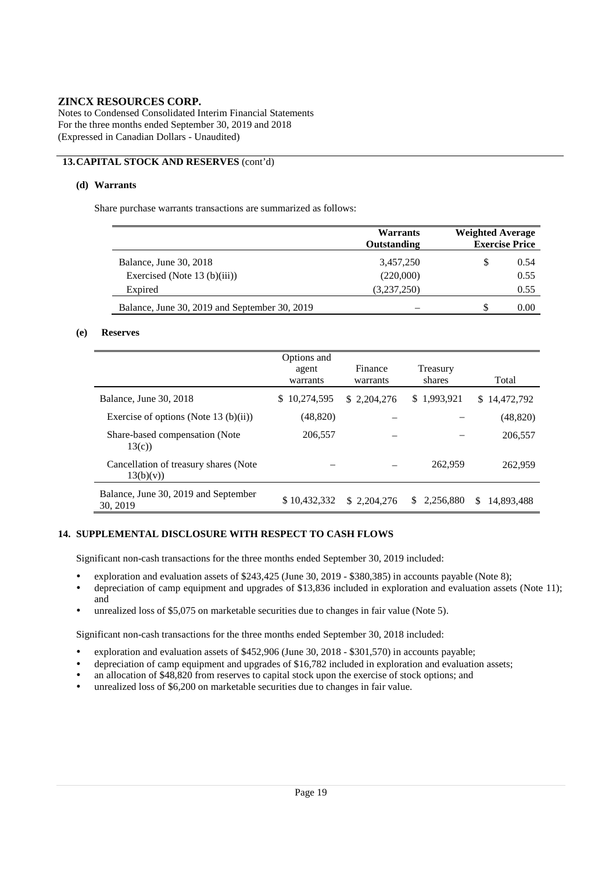Notes to Condensed Consolidated Interim Financial Statements For the three months ended September 30, 2019 and 2018 (Expressed in Canadian Dollars - Unaudited)

### **13.CAPITAL STOCK AND RESERVES** (cont'd)

#### **(d) Warrants**

Share purchase warrants transactions are summarized as follows:

|                                               | Warrants<br>Outstanding | <b>Weighted Average</b><br><b>Exercise Price</b> |      |  |  |
|-----------------------------------------------|-------------------------|--------------------------------------------------|------|--|--|
| Balance, June 30, 2018                        | 3,457,250               | S                                                | 0.54 |  |  |
| Exercised (Note $13$ (b)(iii))                | (220,000)               |                                                  | 0.55 |  |  |
| Expired                                       | (3,237,250)             |                                                  | 0.55 |  |  |
| Balance, June 30, 2019 and September 30, 2019 |                         |                                                  | 0.00 |  |  |

#### **(e) Reserves**

|                                                    | Options and<br>agent<br>warrants | Finance<br>warrants | Treasury<br>shares | Total            |
|----------------------------------------------------|----------------------------------|---------------------|--------------------|------------------|
| Balance, June 30, 2018                             | 10,274,595<br>S.                 | \$2.204.276         | \$1,993,921        | \$14,472,792     |
| Exercise of options (Note 13 (b)(ii))              | (48, 820)                        |                     |                    | (48, 820)        |
| Share-based compensation (Note<br>13(c)            | 206,557                          |                     |                    | 206,557          |
| Cancellation of treasury shares (Note<br>13(b)(v)) |                                  |                     | 262,959            | 262,959          |
| Balance, June 30, 2019 and September<br>30, 2019   | \$10,432,332                     | \$2.204.276         | 2,256,880<br>S.    | \$<br>14.893.488 |

#### **14. SUPPLEMENTAL DISCLOSURE WITH RESPECT TO CASH FLOWS**

Significant non-cash transactions for the three months ended September 30, 2019 included:

- exploration and evaluation assets of \$243,425 (June 30, 2019 \$380,385) in accounts payable (Note 8);
- depreciation of camp equipment and upgrades of \$13,836 included in exploration and evaluation assets (Note 11); and
- unrealized loss of \$5,075 on marketable securities due to changes in fair value (Note 5).

Significant non-cash transactions for the three months ended September 30, 2018 included:

- exploration and evaluation assets of \$452,906 (June 30, 2018 \$301,570) in accounts payable;
- depreciation of camp equipment and upgrades of  $$16,782$  included in exploration and evaluation assets;<br>an allocation of  $$48,820$  from reserves to capital stock upon the exercise of stock options; and
- an allocation of \$48,820 from reserves to capital stock upon the exercise of stock options; and
- unrealized loss of \$6,200 on marketable securities due to changes in fair value.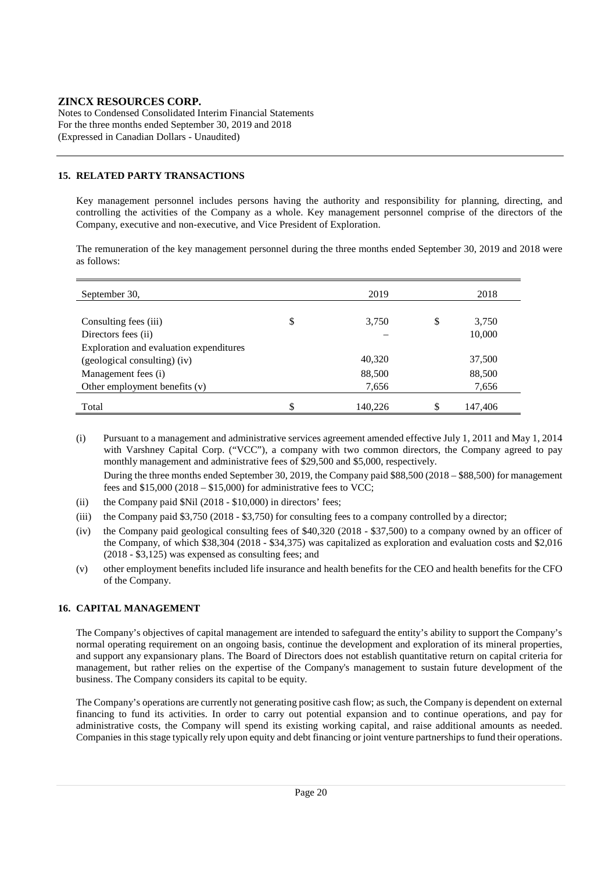Notes to Condensed Consolidated Interim Financial Statements For the three months ended September 30, 2019 and 2018 (Expressed in Canadian Dollars - Unaudited)

#### **15. RELATED PARTY TRANSACTIONS**

Key management personnel includes persons having the authority and responsibility for planning, directing, and controlling the activities of the Company as a whole. Key management personnel comprise of the directors of the Company, executive and non-executive, and Vice President of Exploration.

The remuneration of the key management personnel during the three months ended September 30, 2019 and 2018 were as follows:

| September 30,                           | 2019          | 2018          |
|-----------------------------------------|---------------|---------------|
|                                         |               |               |
| Consulting fees (iii)                   | \$<br>3,750   | \$<br>3,750   |
| Directors fees (ii)                     |               | 10,000        |
| Exploration and evaluation expenditures |               |               |
| (geological consulting) (iv)            | 40,320        | 37,500        |
| Management fees (i)                     | 88,500        | 88,500        |
| Other employment benefits $(v)$         | 7,656         | 7,656         |
| Total                                   | \$<br>140,226 | \$<br>147,406 |

(i) Pursuant to a management and administrative services agreement amended effective July 1, 2011 and May 1, 2014 with Varshney Capital Corp. ("VCC"), a company with two common directors, the Company agreed to pay monthly management and administrative fees of \$29,500 and \$5,000, respectively. During the three months ended September 30, 2019, the Company paid \$88,500 (2018 – \$88,500) for management fees and  $$15,000 (2018 - $15,000)$  for administrative fees to VCC;

- (ii) the Company paid \$Nil (2018 \$10,000) in directors' fees;
- (iii) the Company paid \$3,750 (2018 \$3,750) for consulting fees to a company controlled by a director;
- (iv) the Company paid geological consulting fees of \$40,320 (2018 \$37,500) to a company owned by an officer of the Company, of which \$38,304 (2018 - \$34,375) was capitalized as exploration and evaluation costs and \$2,016 (2018 - \$3,125) was expensed as consulting fees; and
- (v) other employment benefits included life insurance and health benefits for the CEO and health benefits for the CFO of the Company.

#### **16. CAPITAL MANAGEMENT**

The Company's objectives of capital management are intended to safeguard the entity's ability to support the Company's normal operating requirement on an ongoing basis, continue the development and exploration of its mineral properties, and support any expansionary plans. The Board of Directors does not establish quantitative return on capital criteria for management, but rather relies on the expertise of the Company's management to sustain future development of the business. The Company considers its capital to be equity.

The Company's operations are currently not generating positive cash flow; as such, the Company is dependent on external financing to fund its activities. In order to carry out potential expansion and to continue operations, and pay for administrative costs, the Company will spend its existing working capital, and raise additional amounts as needed. Companies in this stage typically rely upon equity and debt financing or joint venture partnerships to fund their operations.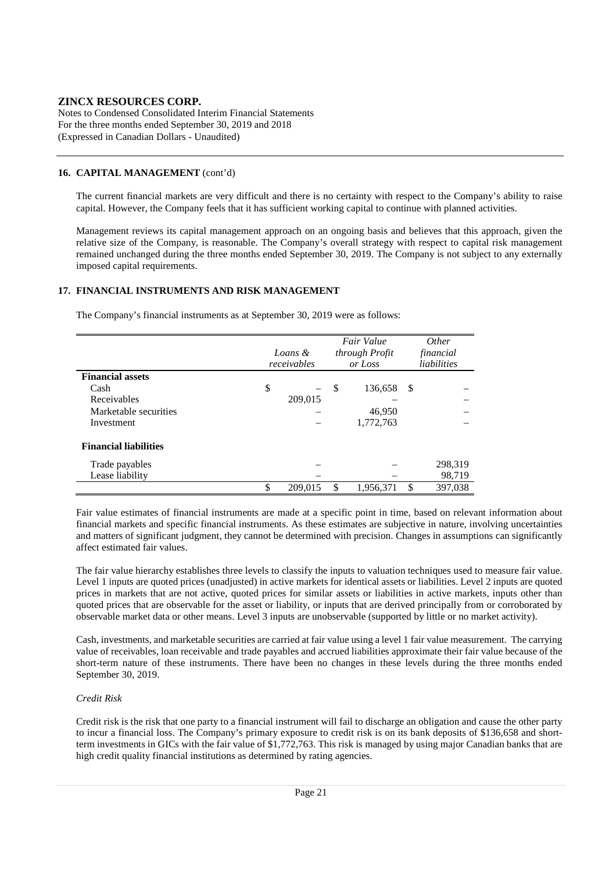Notes to Condensed Consolidated Interim Financial Statements For the three months ended September 30, 2019 and 2018 (Expressed in Canadian Dollars - Unaudited)

#### **16. CAPITAL MANAGEMENT** (cont'd)

The current financial markets are very difficult and there is no certainty with respect to the Company's ability to raise capital. However, the Company feels that it has sufficient working capital to continue with planned activities.

Management reviews its capital management approach on an ongoing basis and believes that this approach, given the relative size of the Company, is reasonable. The Company's overall strategy with respect to capital risk management remained unchanged during the three months ended September 30, 2019. The Company is not subject to any externally imposed capital requirements.

#### **17. FINANCIAL INSTRUMENTS AND RISK MANAGEMENT**

The Company's financial instruments as at September 30, 2019 were as follows:

|                              | Loans &<br>receivables |         | Fair Value<br>through Profit<br>or Loss |           |     | <i>Other</i><br>financial<br>liabilities |
|------------------------------|------------------------|---------|-----------------------------------------|-----------|-----|------------------------------------------|
| <b>Financial assets</b>      |                        |         |                                         |           |     |                                          |
| Cash                         | \$                     |         | <sup>\$</sup>                           | 136,658   | -\$ |                                          |
| Receivables                  |                        | 209,015 |                                         |           |     |                                          |
| Marketable securities        |                        |         |                                         | 46,950    |     |                                          |
| Investment                   |                        |         |                                         | 1,772,763 |     |                                          |
| <b>Financial liabilities</b> |                        |         |                                         |           |     |                                          |
| Trade payables               |                        |         |                                         |           |     | 298,319                                  |
| Lease liability              |                        |         |                                         |           |     | 98,719                                   |
|                              | \$                     | 209.015 | S                                       | 1,956,371 | \$. | 397,038                                  |

Fair value estimates of financial instruments are made at a specific point in time, based on relevant information about financial markets and specific financial instruments. As these estimates are subjective in nature, involving uncertainties and matters of significant judgment, they cannot be determined with precision. Changes in assumptions can significantly affect estimated fair values.

The fair value hierarchy establishes three levels to classify the inputs to valuation techniques used to measure fair value. Level 1 inputs are quoted prices (unadjusted) in active markets for identical assets or liabilities. Level 2 inputs are quoted prices in markets that are not active, quoted prices for similar assets or liabilities in active markets, inputs other than quoted prices that are observable for the asset or liability, or inputs that are derived principally from or corroborated by observable market data or other means. Level 3 inputs are unobservable (supported by little or no market activity).

Cash, investments, and marketable securities are carried at fair value using a level 1 fair value measurement. The carrying value of receivables, loan receivable and trade payables and accrued liabilities approximate their fair value because of the short-term nature of these instruments. There have been no changes in these levels during the three months ended September 30, 2019.

#### *Credit Risk*

Credit risk is the risk that one party to a financial instrument will fail to discharge an obligation and cause the other party to incur a financial loss. The Company's primary exposure to credit risk is on its bank deposits of \$136,658 and shortterm investments in GICs with the fair value of \$1,772,763. This risk is managed by using major Canadian banks that are high credit quality financial institutions as determined by rating agencies.